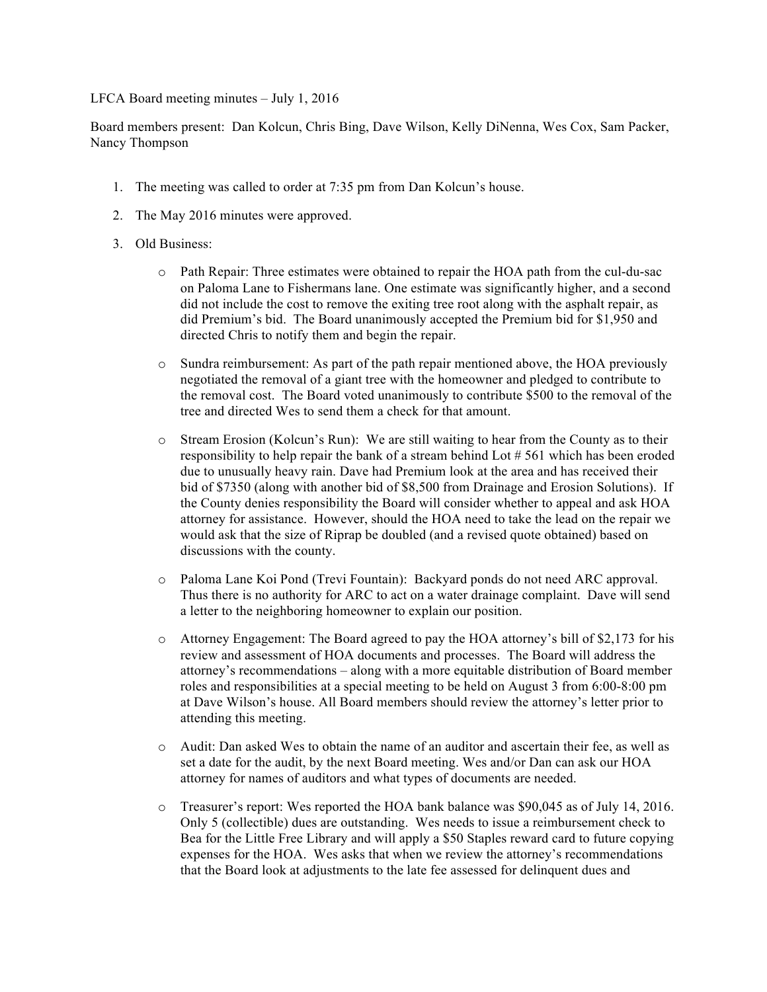LFCA Board meeting minutes – July 1, 2016

Board members present: Dan Kolcun, Chris Bing, Dave Wilson, Kelly DiNenna, Wes Cox, Sam Packer, Nancy Thompson

- 1. The meeting was called to order at 7:35 pm from Dan Kolcun's house.
- 2. The May 2016 minutes were approved.
- 3. Old Business:
	- o Path Repair: Three estimates were obtained to repair the HOA path from the cul-du-sac on Paloma Lane to Fishermans lane. One estimate was significantly higher, and a second did not include the cost to remove the exiting tree root along with the asphalt repair, as did Premium's bid. The Board unanimously accepted the Premium bid for \$1,950 and directed Chris to notify them and begin the repair.
	- o Sundra reimbursement: As part of the path repair mentioned above, the HOA previously negotiated the removal of a giant tree with the homeowner and pledged to contribute to the removal cost. The Board voted unanimously to contribute \$500 to the removal of the tree and directed Wes to send them a check for that amount.
	- o Stream Erosion (Kolcun's Run): We are still waiting to hear from the County as to their responsibility to help repair the bank of a stream behind Lot # 561 which has been eroded due to unusually heavy rain. Dave had Premium look at the area and has received their bid of \$7350 (along with another bid of \$8,500 from Drainage and Erosion Solutions). If the County denies responsibility the Board will consider whether to appeal and ask HOA attorney for assistance. However, should the HOA need to take the lead on the repair we would ask that the size of Riprap be doubled (and a revised quote obtained) based on discussions with the county.
	- o Paloma Lane Koi Pond (Trevi Fountain): Backyard ponds do not need ARC approval. Thus there is no authority for ARC to act on a water drainage complaint. Dave will send a letter to the neighboring homeowner to explain our position.
	- o Attorney Engagement: The Board agreed to pay the HOA attorney's bill of \$2,173 for his review and assessment of HOA documents and processes. The Board will address the attorney's recommendations – along with a more equitable distribution of Board member roles and responsibilities at a special meeting to be held on August 3 from 6:00-8:00 pm at Dave Wilson's house. All Board members should review the attorney's letter prior to attending this meeting.
	- o Audit: Dan asked Wes to obtain the name of an auditor and ascertain their fee, as well as set a date for the audit, by the next Board meeting. Wes and/or Dan can ask our HOA attorney for names of auditors and what types of documents are needed.
	- o Treasurer's report: Wes reported the HOA bank balance was \$90,045 as of July 14, 2016. Only 5 (collectible) dues are outstanding. Wes needs to issue a reimbursement check to Bea for the Little Free Library and will apply a \$50 Staples reward card to future copying expenses for the HOA. Wes asks that when we review the attorney's recommendations that the Board look at adjustments to the late fee assessed for delinquent dues and